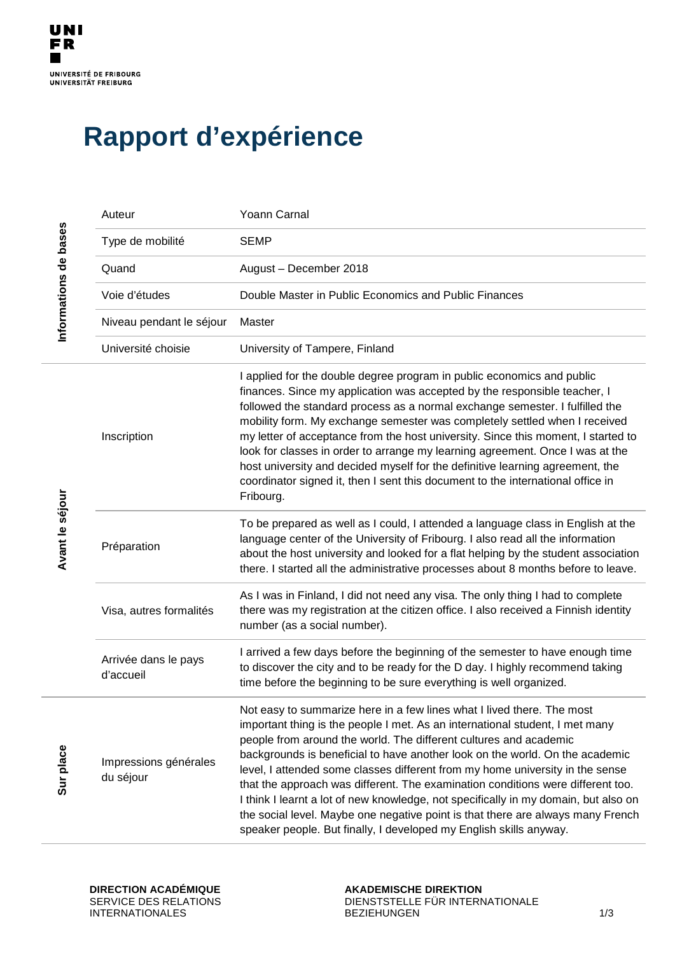## **Rapport d'expérience**

| Informations de bases | Auteur                             | Yoann Carnal                                                                                                                                                                                                                                                                                                                                                                                                                                                                                                                                                                                                                                                                                                                    |
|-----------------------|------------------------------------|---------------------------------------------------------------------------------------------------------------------------------------------------------------------------------------------------------------------------------------------------------------------------------------------------------------------------------------------------------------------------------------------------------------------------------------------------------------------------------------------------------------------------------------------------------------------------------------------------------------------------------------------------------------------------------------------------------------------------------|
|                       | Type de mobilité                   | <b>SEMP</b>                                                                                                                                                                                                                                                                                                                                                                                                                                                                                                                                                                                                                                                                                                                     |
|                       | Quand                              | August - December 2018                                                                                                                                                                                                                                                                                                                                                                                                                                                                                                                                                                                                                                                                                                          |
|                       | Voie d'études                      | Double Master in Public Economics and Public Finances                                                                                                                                                                                                                                                                                                                                                                                                                                                                                                                                                                                                                                                                           |
|                       | Niveau pendant le séjour           | Master                                                                                                                                                                                                                                                                                                                                                                                                                                                                                                                                                                                                                                                                                                                          |
|                       | Université choisie                 | University of Tampere, Finland                                                                                                                                                                                                                                                                                                                                                                                                                                                                                                                                                                                                                                                                                                  |
| Avant le séjour       | Inscription                        | I applied for the double degree program in public economics and public<br>finances. Since my application was accepted by the responsible teacher, I<br>followed the standard process as a normal exchange semester. I fulfilled the<br>mobility form. My exchange semester was completely settled when I received<br>my letter of acceptance from the host university. Since this moment, I started to<br>look for classes in order to arrange my learning agreement. Once I was at the<br>host university and decided myself for the definitive learning agreement, the<br>coordinator signed it, then I sent this document to the international office in<br>Fribourg.                                                        |
|                       | Préparation                        | To be prepared as well as I could, I attended a language class in English at the<br>language center of the University of Fribourg. I also read all the information<br>about the host university and looked for a flat helping by the student association<br>there. I started all the administrative processes about 8 months before to leave.                                                                                                                                                                                                                                                                                                                                                                                   |
|                       | Visa, autres formalités            | As I was in Finland, I did not need any visa. The only thing I had to complete<br>there was my registration at the citizen office. I also received a Finnish identity<br>number (as a social number).                                                                                                                                                                                                                                                                                                                                                                                                                                                                                                                           |
|                       | Arrivée dans le pays<br>d'accueil  | I arrived a few days before the beginning of the semester to have enough time<br>to discover the city and to be ready for the D day. I highly recommend taking<br>time before the beginning to be sure everything is well organized.                                                                                                                                                                                                                                                                                                                                                                                                                                                                                            |
| Sur place             | Impressions générales<br>du séjour | Not easy to summarize here in a few lines what I lived there. The most<br>important thing is the people I met. As an international student, I met many<br>people from around the world. The different cultures and academic<br>backgrounds is beneficial to have another look on the world. On the academic<br>level, I attended some classes different from my home university in the sense<br>that the approach was different. The examination conditions were different too.<br>I think I learnt a lot of new knowledge, not specifically in my domain, but also on<br>the social level. Maybe one negative point is that there are always many French<br>speaker people. But finally, I developed my English skills anyway. |

**DIRECTION ACADÉMIQUE** SERVICE DES RELATIONS INTERNATIONALES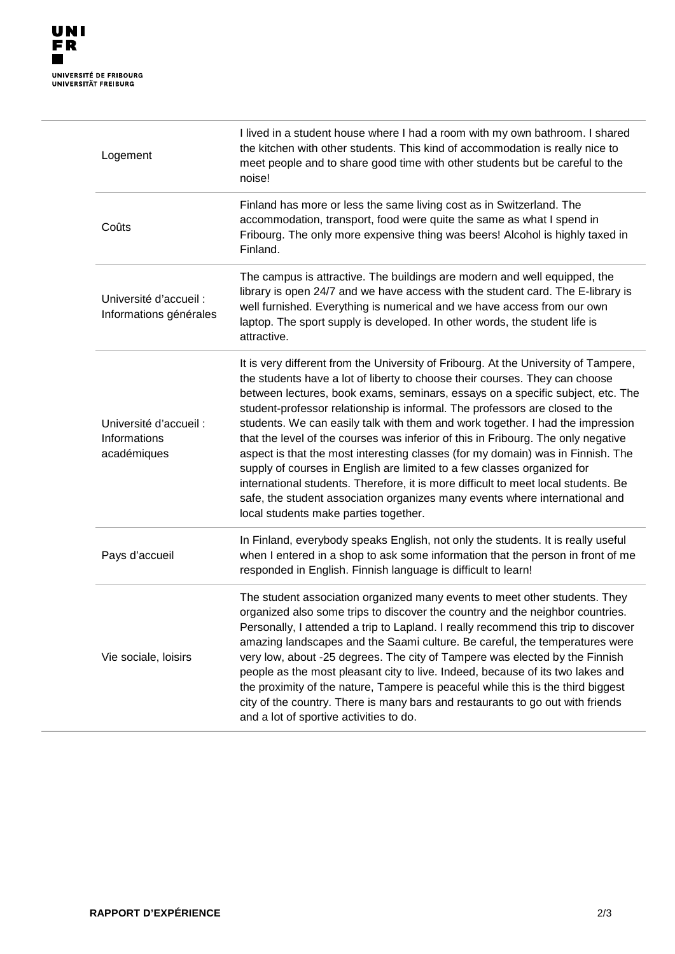| Logement                                              | I lived in a student house where I had a room with my own bathroom. I shared<br>the kitchen with other students. This kind of accommodation is really nice to<br>meet people and to share good time with other students but be careful to the<br>noise!                                                                                                                                                                                                                                                                                                                                                                                                                                                                                                                                                                                                                                 |
|-------------------------------------------------------|-----------------------------------------------------------------------------------------------------------------------------------------------------------------------------------------------------------------------------------------------------------------------------------------------------------------------------------------------------------------------------------------------------------------------------------------------------------------------------------------------------------------------------------------------------------------------------------------------------------------------------------------------------------------------------------------------------------------------------------------------------------------------------------------------------------------------------------------------------------------------------------------|
| Coûts                                                 | Finland has more or less the same living cost as in Switzerland. The<br>accommodation, transport, food were quite the same as what I spend in<br>Fribourg. The only more expensive thing was beers! Alcohol is highly taxed in<br>Finland.                                                                                                                                                                                                                                                                                                                                                                                                                                                                                                                                                                                                                                              |
| Université d'accueil :<br>Informations générales      | The campus is attractive. The buildings are modern and well equipped, the<br>library is open 24/7 and we have access with the student card. The E-library is<br>well furnished. Everything is numerical and we have access from our own<br>laptop. The sport supply is developed. In other words, the student life is<br>attractive.                                                                                                                                                                                                                                                                                                                                                                                                                                                                                                                                                    |
| Université d'accueil :<br>Informations<br>académiques | It is very different from the University of Fribourg. At the University of Tampere,<br>the students have a lot of liberty to choose their courses. They can choose<br>between lectures, book exams, seminars, essays on a specific subject, etc. The<br>student-professor relationship is informal. The professors are closed to the<br>students. We can easily talk with them and work together. I had the impression<br>that the level of the courses was inferior of this in Fribourg. The only negative<br>aspect is that the most interesting classes (for my domain) was in Finnish. The<br>supply of courses in English are limited to a few classes organized for<br>international students. Therefore, it is more difficult to meet local students. Be<br>safe, the student association organizes many events where international and<br>local students make parties together. |
| Pays d'accueil                                        | In Finland, everybody speaks English, not only the students. It is really useful<br>when I entered in a shop to ask some information that the person in front of me<br>responded in English. Finnish language is difficult to learn!                                                                                                                                                                                                                                                                                                                                                                                                                                                                                                                                                                                                                                                    |
| Vie sociale, loisirs                                  | The student association organized many events to meet other students. They<br>organized also some trips to discover the country and the neighbor countries.<br>Personally, I attended a trip to Lapland. I really recommend this trip to discover<br>amazing landscapes and the Saami culture. Be careful, the temperatures were<br>very low, about -25 degrees. The city of Tampere was elected by the Finnish<br>people as the most pleasant city to live. Indeed, because of its two lakes and<br>the proximity of the nature, Tampere is peaceful while this is the third biggest<br>city of the country. There is many bars and restaurants to go out with friends<br>and a lot of sportive activities to do.                                                                                                                                                                      |